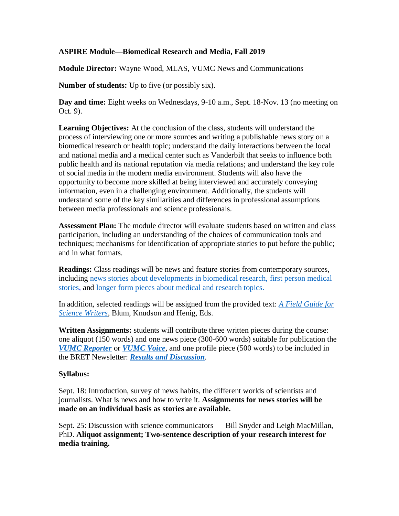## **ASPIRE Module—Biomedical Research and Media, Fall 2019**

**Module Director:** Wayne Wood, MLAS, VUMC News and Communications

**Number of students:** Up to five (or possibly six).

**Day and time:** Eight weeks on Wednesdays, 9-10 a.m., Sept. 18-Nov. 13 (no meeting on Oct. 9).

**Learning Objectives:** At the conclusion of the class, students will understand the process of interviewing one or more sources and writing a publishable news story on a biomedical research or health topic; understand the daily interactions between the local and national media and a medical center such as Vanderbilt that seeks to influence both public health and its national reputation via media relations; and understand the key role of social media in the modern media environment. Students will also have the opportunity to become more skilled at being interviewed and accurately conveying information, even in a challenging environment. Additionally, the students will understand some of the key similarities and differences in professional assumptions between media professionals and science professionals.

**Assessment Plan:** The module director will evaluate students based on written and class participation, including an understanding of the choices of communication tools and techniques; mechanisms for identification of appropriate stories to put before the public; and in what formats.

**Readings:** Class readings will be news and feature stories from contemporary sources, including [news stories about developments in biomedical research,](https://www.bbc.com/news/health-49070182) [first person medical](http://www.miamiherald.com/living/liv-columns-blogs/dave-barry/article1928847.html)  [stories,](http://www.miamiherald.com/living/liv-columns-blogs/dave-barry/article1928847.html) and [longer form pieces about medical and research topics.](http://www.newyorker.com/magazine/2008/06/30/the-itch)

In addition, selected readings will be assigned from the provided text: *[A Field Guide for](https://www.amazon.com/Field-Guide-Science-Writers-Association/dp/0195174992)  [Science Writers](https://www.amazon.com/Field-Guide-Science-Writers-Association/dp/0195174992)*, Blum, Knudson and Henig, Eds.

**Written Assignments:** students will contribute three written pieces during the course: one aliquot (150 words) and one news piece (300-600 words) suitable for publication the *[VUMC Reporter](http://news.vumc.org/)* or *[VUMC Voice](http://voice.vumc.org/)*, and one profile piece (500 words) to be included in the BRET Newsletter: *Results [and Discussion](https://medschool.vanderbilt.edu/career-development/files/career-development/public_files/BRET%20Newsletter%20Spring%202016%20Draft%2010_Tyne_interactive.pdf).*

## **Syllabus:**

Sept. 18: Introduction, survey of news habits, the different worlds of scientists and journalists. What is news and how to write it. **Assignments for news stories will be made on an individual basis as stories are available.**

Sept. 25: Discussion with science communicators — Bill Snyder and Leigh MacMillan, PhD. **Aliquot assignment; Two-sentence description of your research interest for media training.**